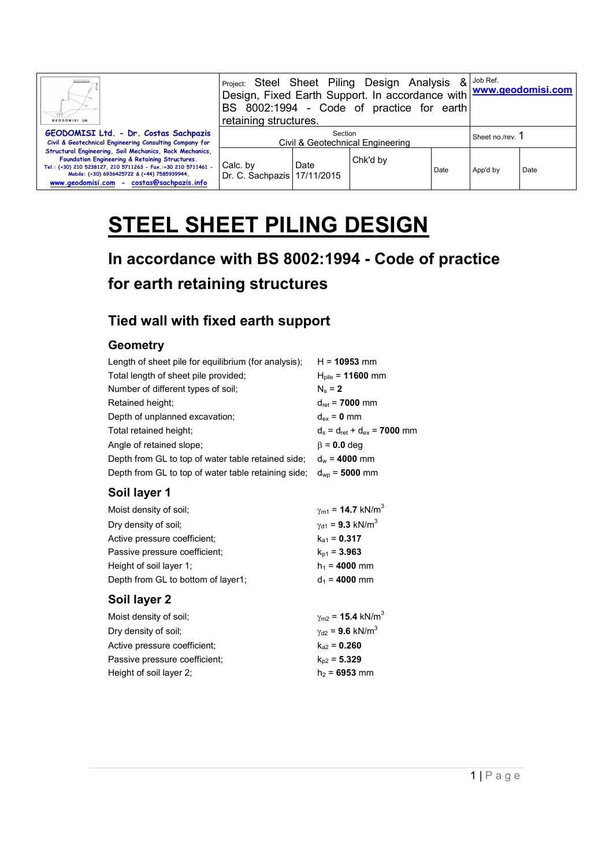| Ш.<br>GEODOMISI Ltd.                                                                                                                                                                                                                                                    | Project: Steel Sheet Piling Design Analysis<br>Design, Fixed Earth Support. In accordance with www.geodomisi.com<br>BS 8002:1994 - Code of practice for earth<br>retaining structures. |      |          | $8$   Job Ref.   |          |      |
|-------------------------------------------------------------------------------------------------------------------------------------------------------------------------------------------------------------------------------------------------------------------------|----------------------------------------------------------------------------------------------------------------------------------------------------------------------------------------|------|----------|------------------|----------|------|
| GEODOMISI Ltd. - Dr. Costas Sachpazis<br>Civil & Geotechnical Engineering Consulting Company for                                                                                                                                                                        | Section<br>Civil & Geotechnical Engineering                                                                                                                                            |      |          | Sheet no./rev. 1 |          |      |
| Structural Engineering, Soil Mechanics, Rock Mechanics,<br>Foundation Engineering & Retaining Structures.<br>Tel.: (+30) 210 5238127, 210 5711263 - Fax.:+30 210 5711461 -<br>Mobile: (+30) 6936425722 & (+44) 7585939944,<br>www.geodomisi.com - costas@sachpazis.info | Calc. by<br>Dr. C. Sachpazis   17/11/2015                                                                                                                                              | Date | Chk'd by | Date             | App'd by | Date |

## **STEEL SHEET PILING DESIGN**

## **In accordance with BS 8002:1994 - Code of practice for earth retaining structures**

## **Tied wall with fixed earth support**

## **Geometry**

| $H = 10953$ mm                       |
|--------------------------------------|
| $H_{\text{pile}} = 11600 \text{ mm}$ |
| $N_s = 2$                            |
| $d_{\text{ret}}$ = 7000 mm           |
| $d_{ex} = 0$ mm                      |
| $d_s = d_{ret} + d_{ex} = 7000$ mm   |
| $\beta$ = 0.0 deg                    |
| $d_w = 4000$ mm                      |
| $d_{\rm WD}$ = 5000 mm               |
|                                      |

## **Soil layer 1**

| Moist density of soil:             | $\gamma_{\text{m1}} = 14.7 \text{ kN/m}^3$ |
|------------------------------------|--------------------------------------------|
| Dry density of soil;               | $\gamma_{d1}$ = 9.3 kN/m <sup>3</sup>      |
| Active pressure coefficient;       | $k_{a1} = 0.317$                           |
| Passive pressure coefficient:      | $k_{p1} = 3.963$                           |
| Height of soil layer 1;            | $h_1 = 4000$ mm                            |
| Depth from GL to bottom of layer1; | $d_1$ = 4000 mm                            |

## **Soil layer 2**

| Moist density of soil:        | $\gamma_{\text{m2}}$ = 15.4 kN/m <sup>3</sup> |
|-------------------------------|-----------------------------------------------|
| Dry density of soil;          | $\gamma_{d2} = 9.6 \text{ kN/m}^3$            |
| Active pressure coefficient:  | $k_{22} = 0.260$                              |
| Passive pressure coefficient; | $k_{p2} = 5.329$                              |
| Height of soil layer 2;       | $h_2$ = 6953 mm                               |
|                               |                                               |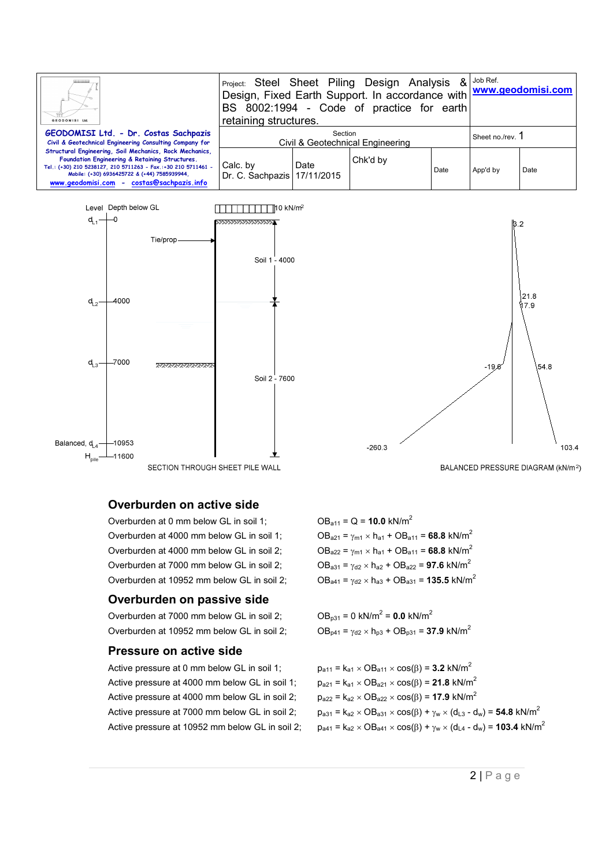| Ш.<br>GEODOMISI Ltd.                                                                                                                                                                                                                                                    | Project: Steel Sheet Piling Design Analysis<br>Design, Fixed Earth Support. In accordance with www.geodomisi.com<br>BS 8002:1994 - Code of practice for earth<br>retaining structures. |      |          | & Job Ref.       |          |      |
|-------------------------------------------------------------------------------------------------------------------------------------------------------------------------------------------------------------------------------------------------------------------------|----------------------------------------------------------------------------------------------------------------------------------------------------------------------------------------|------|----------|------------------|----------|------|
| GEODOMISI Ltd. - Dr. Costas Sachpazis<br>Civil & Geotechnical Engineering Consulting Company for                                                                                                                                                                        | Section<br>Civil & Geotechnical Engineering                                                                                                                                            |      |          | Sheet no./rev. 1 |          |      |
| Structural Engineering, Soil Mechanics, Rock Mechanics,<br>Foundation Engineering & Retaining Structures.<br>Tel.: (+30) 210 5238127, 210 5711263 - Fax.:+30 210 5711461 -<br>Mobile: (+30) 6936425722 & (+44) 7585939944,<br>www.geodomisi.com - costas@sachpazis.info | Calc. by<br>Dr. C. Sachpazis   17/11/2015                                                                                                                                              | Date | Chk'd by | Date             | App'd by | Date |



SECTION THROUGH SHEET PILE WALL

#### **Overburden on active side**

Overburden at 0 mm below GL in soil 1;  $OB<sub>a11</sub> = Q = 10.0$  kN/m<sup>2</sup> Overburden at 4000 mm below GL in soil 1;  $OB_{a21} = \gamma_{m1} \times h_{a1} + OB_{a11} = 68.8 \text{ kN/m}^2$ Overburden at 4000 mm below GL in soil 2;  $OB_{a22} = \gamma_{m1} \times h_{a1} + OB_{a11} = 68.8 \text{ kN/m}^2$ Overburden at 7000 mm below GL in soil 2;  $OB_{a31} = \gamma_{d2} \times h_{a2} + OB_{a22} = 97.6 \text{ kN/m}^2$ Overburden at 10952 mm below GL in soil 2;  $OB_{a41} = \gamma_{d2} \times h_{a3} + OB_{a31} = 135.5 \text{ kN/m}^2$ 

#### **Overburden on passive side**

Overburden at  $7000$  mm below GL in soil 2: Overburden at 10952 mm below GL in soil 2;  $OB_{p41} = \gamma_{d2} \times h_{p3} + OB_{p31} = 37.9 \text{ kN/m}^2$ 

#### **Pressure on active side**

Active pressure at 0 mm below GL in soil 1;  $p_{a11} = k_{a1} \times OB_{a11} \times cos(\beta) = 3.2 \text{ kN/m}^2$ Active pressure at 4000 mm below GL in soil 1;  $p_{a21} = k_{a1} \times OB_{a21} \times cos(\beta) = 21.8 \text{ kN/m}^2$ Active pressure at 4000 mm below GL in soil 2;  $p_{a22} = k_{a2} \times OB_{a22} \times cos(\beta) = 17.9 \text{ kN/m}^2$ 



BALANCED PRESSURE DIAGRAM (kN/m<sup>2</sup>)

 $OB_{n31} = 0$  kN/m<sup>2</sup> = 0.0 kN/m<sup>2</sup>

Active pressure at 7000 mm below GL in soil 2;  $p_{a31} = k_{a2} \times OB_{a31} \times cos(\beta) + \gamma_w \times (d_{L3} - d_w) =$  **54.8** kN/m<sup>2</sup> Active pressure at 10952 mm below GL in soil 2;  $p_{a41} = k_{a2} \times OB_{a41} \times cos(\beta) + \gamma_w \times (d_{L4} - d_w) = 103.4 \text{ kN/m}^2$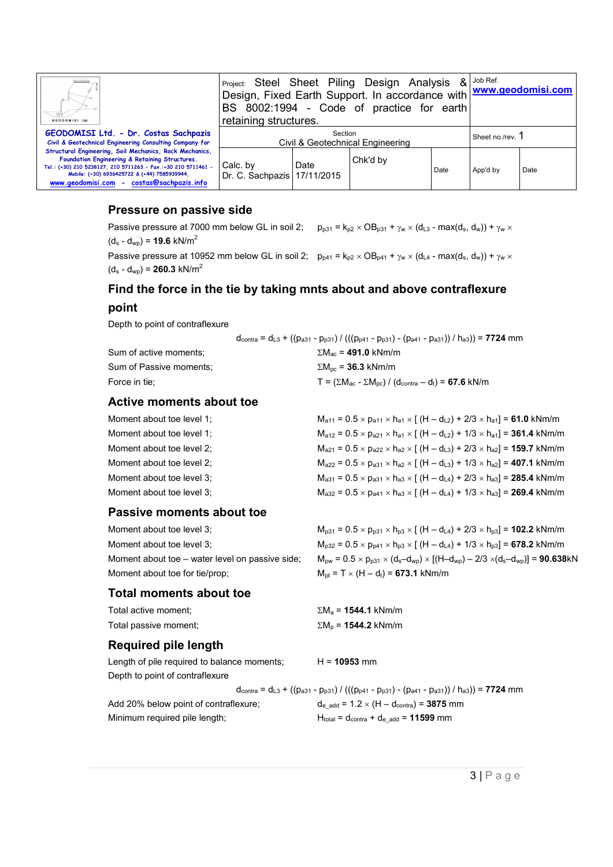| Ш.<br>GEODOMISI Ltd.                                                                                                                                                                                                                                                    | <b>Project: Steel Sheet Piling Design Analysis</b><br>Design, Fixed Earth Support. In accordance with www.geodomisi.com<br>BS 8002:1994 - Code of practice for earth<br>retaining structures. |      |          | $8$ Job Ref.     |          |      |
|-------------------------------------------------------------------------------------------------------------------------------------------------------------------------------------------------------------------------------------------------------------------------|-----------------------------------------------------------------------------------------------------------------------------------------------------------------------------------------------|------|----------|------------------|----------|------|
| GEODOMISI Ltd. - Dr. Costas Sachpazis<br>Civil & Geotechnical Engineering Consulting Company for                                                                                                                                                                        | Section<br>Civil & Geotechnical Engineering                                                                                                                                                   |      |          | Sheet no./rev. 1 |          |      |
| Structural Engineering, Soil Mechanics, Rock Mechanics,<br>Foundation Engineering & Retaining Structures.<br>Tel.: (+30) 210 5238127, 210 5711263 - Fax.:+30 210 5711461 -<br>Mobile: (+30) 6936425722 & (+44) 7585939944.<br>www.geodomisi.com - costas@sachpazis.info | Calc. by<br>Dr. C. Sachpazis   17/11/2015                                                                                                                                                     | Date | Chk'd by | Date             | App'd by | Date |

#### **Pressure on passive side**

Passive pressure at 7000 mm below GL in soil 2;  $p_{p31} = k_{p2} \times OB_{p31} + \gamma_w \times (d_{L3} - max(d_s, d_w)) + \gamma_w \times$  $(d_s - d_{wp}) = 19.6$  kN/m<sup>2</sup>

Passive pressure at 10952 mm below GL in soil 2;  $p_{p41} = k_{p2} \times OB_{p41} + \gamma_w \times (d_{L4} - max(d_s, d_w)) + \gamma_w \times$  $(d_s - d_{wp}) = 260.3$  kN/m<sup>2</sup>

## **Find the force in the tie by taking mnts about and above contraflexure**

## **point**

Depth to point of contraflexure

|                         | $d_{\text{contra}} = d_{\text{L}3} + ((p_{a31} - p_{p31}) / (((p_{p41} - p_{p31}) - (p_{a41} - p_{a31})) / h_{a3})) = 7724 \text{ mm}$ |
|-------------------------|----------------------------------------------------------------------------------------------------------------------------------------|
| Sum of active moments:  | $\Sigma M_{ac}$ = 491.0 kNm/m                                                                                                          |
| Sum of Passive moments: | $\Sigma M_{\text{nc}}$ = 36.3 kNm/m                                                                                                    |
| Force in tie:           | $T = (\Sigma M_{ac} - \Sigma M_{pc}) / (d_{contra} - d_t) = 67.6$ kN/m                                                                 |

## **Active moments about toe**

| Moment about toe level 1; | $M_{a11} = 0.5 \times p_{a11} \times h_{a1} \times [(H - d_{L2}) + 2/3 \times h_{a1}] = 61.0$ kNm/m                                |
|---------------------------|------------------------------------------------------------------------------------------------------------------------------------|
| Moment about toe level 1; | $M_{a12} = 0.5 \times p_{a21} \times h_{a1} \times [(H - d_{12}) + 1/3 \times h_{a1}] = 361.4$ kNm/m                               |
| Moment about toe level 2; | $M_{a21} = 0.5 \times p_{a22} \times h_{a2} \times [(H - d_{L3}) + 2/3 \times h_{a2}] = 159.7$ kNm/m                               |
| Moment about toe level 2; | $M_{a22} = 0.5 \times p_{a31} \times h_{a2} \times$ [ (H – d <sub>L3</sub> ) + 1/3 $\times$ h <sub>a2</sub> ] = 407.1 kNm/m        |
| Moment about toe level 3; | $M_{a31} = 0.5 \times p_{a31} \times h_{a3} \times$ [ (H – d <sub>L4</sub> ) + 2/3 $\times$ h <sub>a3</sub> ] = <b>285.4</b> kNm/m |
| Moment about toe level 3; | $M_{a32} = 0.5 \times p_{a41} \times h_{a3} \times [ (H - d_{14}) + 1/3 \times h_{a3}] = 269.4$ kNm/m                              |

### **Passive moments about toe**

| Moment about toe level 3;                       | $M_{p31} = 0.5 \times p_{p31} \times h_{p3} \times [(H - d_{L4}) + 2/3 \times h_{p3}] = 102.2$ kNm/m                                                  |
|-------------------------------------------------|-------------------------------------------------------------------------------------------------------------------------------------------------------|
| Moment about toe level 3:                       | $M_{p32} = 0.5 \times p_{p41} \times h_{p3} \times [ (H - d_{L4}) + 1/3 \times h_{p3}] = 678.2$ kNm/m                                                 |
| Moment about toe – water level on passive side; | $M_{\text{ow}} = 0.5 \times p_{0.31} \times (d_s - d_{\text{wo}}) \times [(H - d_{\text{wo}}) - 2/3 \times (d_s - d_{\text{wo}})] = 90.638 \text{kN}$ |
| Moment about toe for tie/prop;                  | $M_{\text{ot}} = T \times (H - d_t) = 673.1 \text{ kNm/m}$                                                                                            |

### **Total moments about toe**

| Total active moment:                                      | $\Sigma M_a$ = 1544.1 kNm/m       |
|-----------------------------------------------------------|-----------------------------------|
| Total passive moment:                                     | $\Sigma M_{\rm p}$ = 1544.2 kNm/m |
| Required pile length                                      |                                   |
| المفعوم معومون ومحوامها والمحوزان ومحورها أحرقه والمحورين | $11 - 400F2$ $$                   |

Length of pile required to balance moments; H = **10953** mm Depth to point of contraflexure

Minimum required pile length;  $H_{total} = d_{\text{contra}} + d_{\text{e\_add}} = 11599 \text{ mm}$ 

```
d_{\text{contra}} = d_{\text{L}3} + ((p_{a31} - p_{p31}) / (((p_{p41} - p_{p31}) - (p_{a41} - p_{a31})) / h_{a3})) = 7724 \text{ mm}Add 20% below point of contraflexure; d_{e \text{ add}} = 1.2 \times (H - d_{\text{contra}}) = 3875 \text{ mm}
```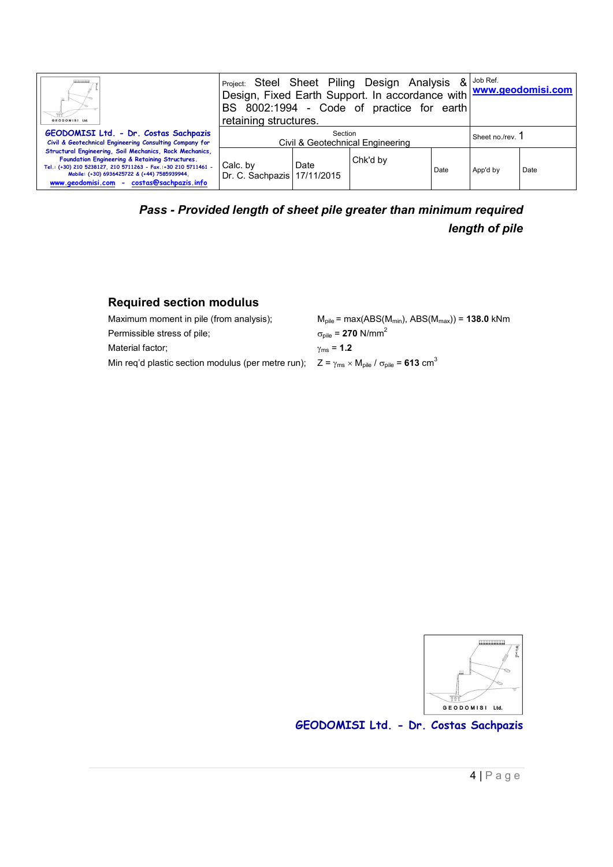| Щ.<br>GEODOMISI Ltd.                                                                                                                                                                                                                                                    | $8$ Job Ref.<br><b>Project: Steel Sheet Piling Design Analysis</b><br>Design, Fixed Earth Support. In accordance with www.geodomisi.com<br>BS 8002:1994 - Code of practice for earth<br>retaining structures. |      |          |                  |          |      |
|-------------------------------------------------------------------------------------------------------------------------------------------------------------------------------------------------------------------------------------------------------------------------|---------------------------------------------------------------------------------------------------------------------------------------------------------------------------------------------------------------|------|----------|------------------|----------|------|
| GEODOMISI Ltd. - Dr. Costas Sachpazis<br>Civil & Geotechnical Engineering Consulting Company for                                                                                                                                                                        | Section<br>Civil & Geotechnical Engineering                                                                                                                                                                   |      |          | Sheet no./rev. 1 |          |      |
| Structural Engineering, Soil Mechanics, Rock Mechanics,<br>Foundation Engineering & Retaining Structures.<br>Tel.: (+30) 210 5238127, 210 5711263 - Fax.:+30 210 5711461 -<br>Mobile: (+30) 6936425722 & (+44) 7585939944,<br>www.geodomisi.com - costas@sachpazis.info | Calc. by<br>Dr. C. Sachpazis 17/11/2015                                                                                                                                                                       | Date | Chk'd by | Date             | App'd by | Date |

*Pass - Provided length of sheet pile greater than minimum required length of pile* 

## **Required section modulus**

| Maximum moment in pile (from analysis);                                                                                                      | $M_{\text{pile}}$ = max(ABS( $M_{\text{min}}$ ), ABS( $M_{\text{max}}$ )) = 138.0 kNm |
|----------------------------------------------------------------------------------------------------------------------------------------------|---------------------------------------------------------------------------------------|
| Permissible stress of pile;                                                                                                                  | $\sigma_{\text{pile}}$ = 270 N/mm <sup>2</sup>                                        |
| Material factor:                                                                                                                             | $v_{\rm ms} = 1.2$                                                                    |
| Min req'd plastic section modulus (per metre run); $Z = \gamma_{\text{ms}} \times M_{\text{pile}} / \sigma_{\text{pile}} = 613 \text{ cm}^3$ |                                                                                       |

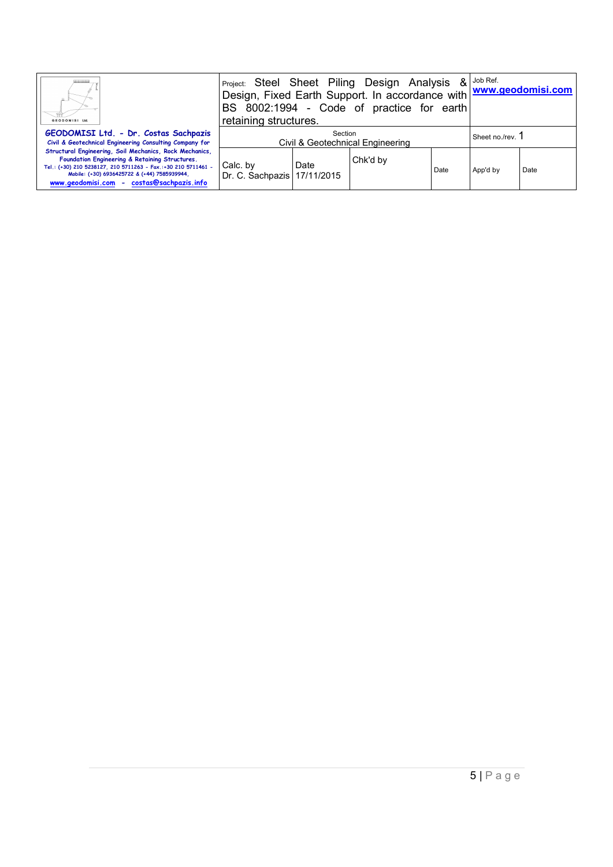| Ш<br>GEODOMISI Ltd.                                                                                                                                                                                                                                                     | Project: Steel Sheet Piling Design Analysis<br>Design, Fixed Earth Support. In accordance with www.geodomisi.com<br>BS 8002:1994 - Code of practice for earth<br>retaining structures. | $8$ Job Ref. |          |      |                  |      |
|-------------------------------------------------------------------------------------------------------------------------------------------------------------------------------------------------------------------------------------------------------------------------|----------------------------------------------------------------------------------------------------------------------------------------------------------------------------------------|--------------|----------|------|------------------|------|
| GEODOMISI Ltd. - Dr. Costas Sachpazis<br>Civil & Geotechnical Engineering Consulting Company for                                                                                                                                                                        | Section<br>Civil & Geotechnical Engineering                                                                                                                                            |              |          |      | Sheet no./rev. 1 |      |
| Structural Engineering, Soil Mechanics, Rock Mechanics,<br>Foundation Engineering & Retaining Structures.<br>Tel.: (+30) 210 5238127, 210 5711263 - Fax.:+30 210 5711461 -<br>Mobile: (+30) 6936425722 & (+44) 7585939944,<br>www.geodomisi.com - costas@sachpazis.info | Calc. by<br>Dr. C. Sachpazis 17/11/2015                                                                                                                                                | Date         | Chk'd by | Date | App'd by         | Date |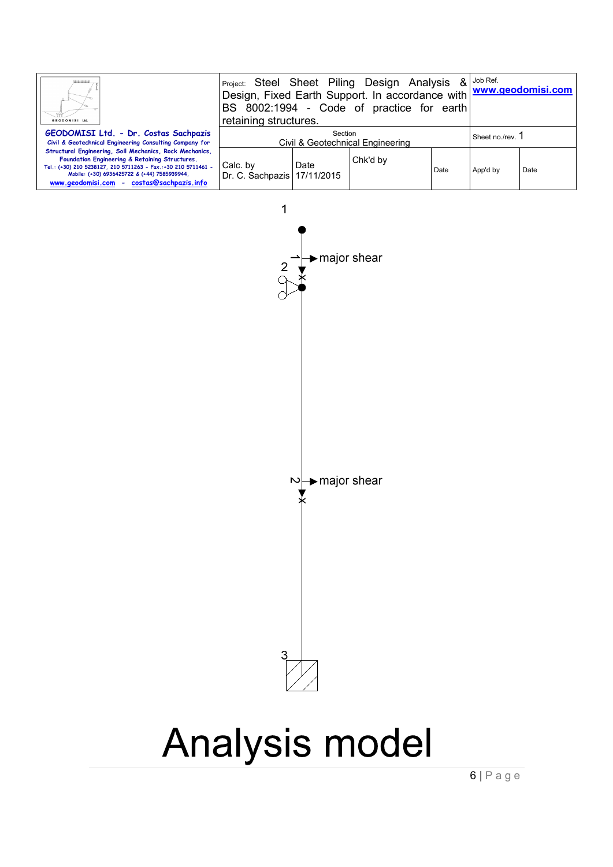| Ш.<br>GEODOMISI Ltd.                                                                                                                                                                                                                                                    | <b>Project: Steel Sheet Piling Design Analysis</b><br>Design, Fixed Earth Support. In accordance with www.geodomisi.com<br>BS 8002:1994 - Code of practice for earth<br>retaining structures. | & Job Ref. |          |      |                  |      |
|-------------------------------------------------------------------------------------------------------------------------------------------------------------------------------------------------------------------------------------------------------------------------|-----------------------------------------------------------------------------------------------------------------------------------------------------------------------------------------------|------------|----------|------|------------------|------|
| GEODOMISI Ltd. - Dr. Costas Sachpazis<br>Civil & Geotechnical Engineering Consulting Company for                                                                                                                                                                        | Section<br>Civil & Geotechnical Engineering                                                                                                                                                   |            |          |      | Sheet no./rev. 1 |      |
| Structural Engineering, Soil Mechanics, Rock Mechanics,<br>Foundation Engineering & Retaining Structures.<br>Tel.: (+30) 210 5238127, 210 5711263 - Fax.:+30 210 5711461 -<br>Mobile: (+30) 6936425722 & (+44) 7585939944,<br>www.geodomisi.com - costas@sachpazis.info | Calc. by<br>Dr. C. Sachpazis   17/11/2015                                                                                                                                                     | Date       | Chk'd by | Date | App'd by         | Date |



# Analysis model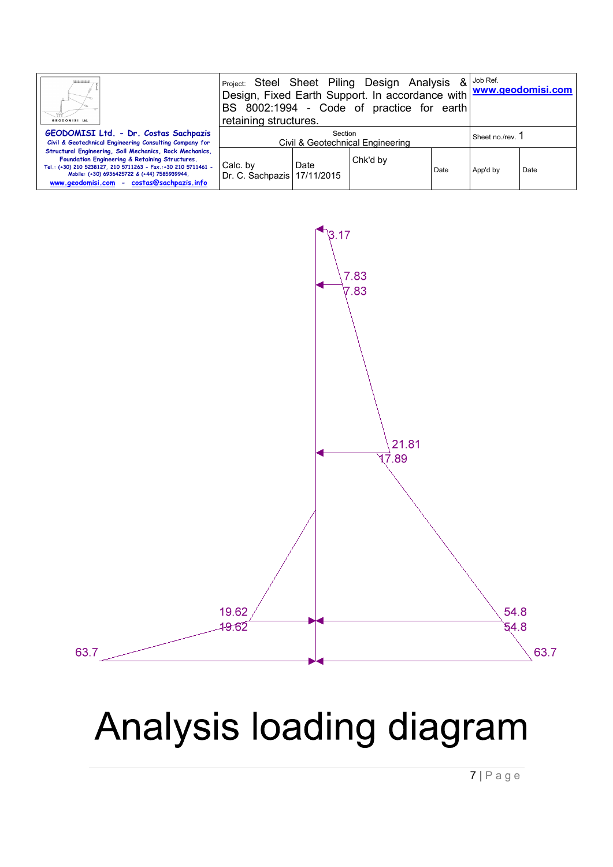| Ш.<br>GEODOMISI Ltd.                                                                                                                                                                                                                                                    | Project: Steel Sheet Piling Design Analysis<br>Design, Fixed Earth Support. In accordance with www.geodomisi.com<br>BS 8002:1994 - Code of practice for earth<br>retaining structures. |      |          |      | $\mathbf{g}$ Job Ref. |      |  |
|-------------------------------------------------------------------------------------------------------------------------------------------------------------------------------------------------------------------------------------------------------------------------|----------------------------------------------------------------------------------------------------------------------------------------------------------------------------------------|------|----------|------|-----------------------|------|--|
| GEODOMISI Ltd. - Dr. Costas Sachpazis<br>Civil & Geotechnical Engineering Consulting Company for                                                                                                                                                                        | Section<br>Civil & Geotechnical Engineering                                                                                                                                            |      |          |      | Sheet no./rev. 1      |      |  |
| Structural Engineering, Soil Mechanics, Rock Mechanics,<br>Foundation Engineering & Retaining Structures.<br>Tel.: (+30) 210 5238127, 210 5711263 - Fax.:+30 210 5711461 -<br>Mobile: (+30) 6936425722 & (+44) 7585939944,<br>www.geodomisi.com - costas@sachpazis.info | Calc. by<br>Dr. C. Sachpazis 17/11/2015                                                                                                                                                | Date | Chk'd by | Date | App'd by              | Date |  |



# Analysis loading diagram